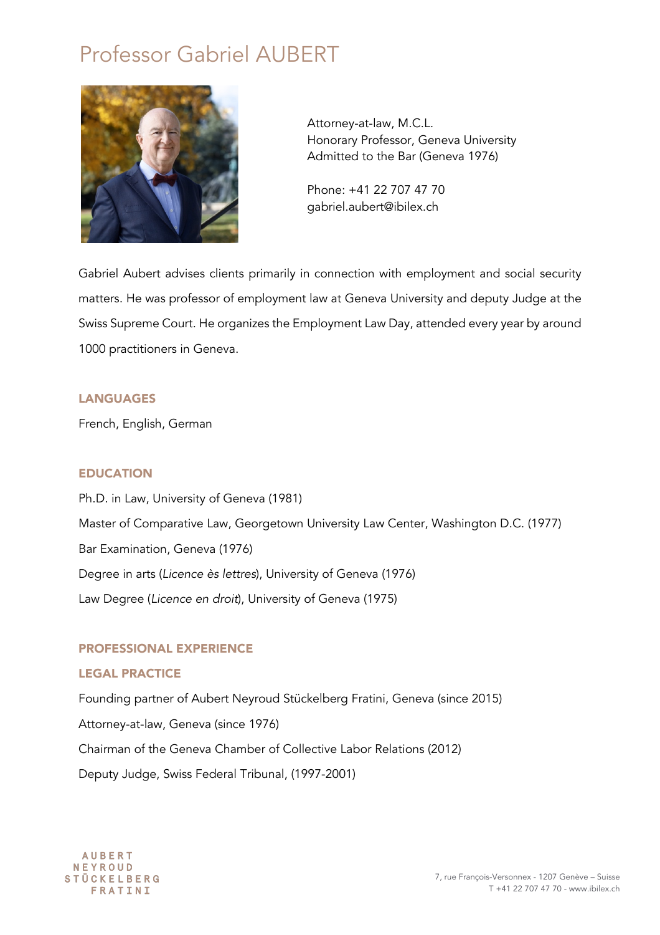# Professor Gabriel AUBERT



Attorney-at-law, M.C.L. Honorary Professor, Geneva University Admitted to the Bar (Geneva 1976)

Phone: +41 22 707 47 70 gabriel.aubert@ibilex.ch

Gabriel Aubert advises clients primarily in connection with employment and social security matters. He was professor of employment law at Geneva University and deputy Judge at the Swiss Supreme Court. He organizes the Employment Law Day, attended every year by around 1000 practitioners in Geneva.

## LANGUAGES

French, English, German

## EDUCATION

Ph.D. in Law, University of Geneva (1981) Master of Comparative Law, Georgetown University Law Center, Washington D.C. (1977) Bar Examination, Geneva (1976) Degree in arts (*Licence ès lettres*), University of Geneva (1976) Law Degree (*Licence en droit*), University of Geneva (1975)

## PROFESSIONAL EXPERIENCE

## LEGAL PRACTICE

Founding partner of Aubert Neyroud Stückelberg Fratini, Geneva (since 2015) Attorney-at-law, Geneva (since 1976) Chairman of the Geneva Chamber of Collective Labor Relations (2012) Deputy Judge, Swiss Federal Tribunal, (1997-2001)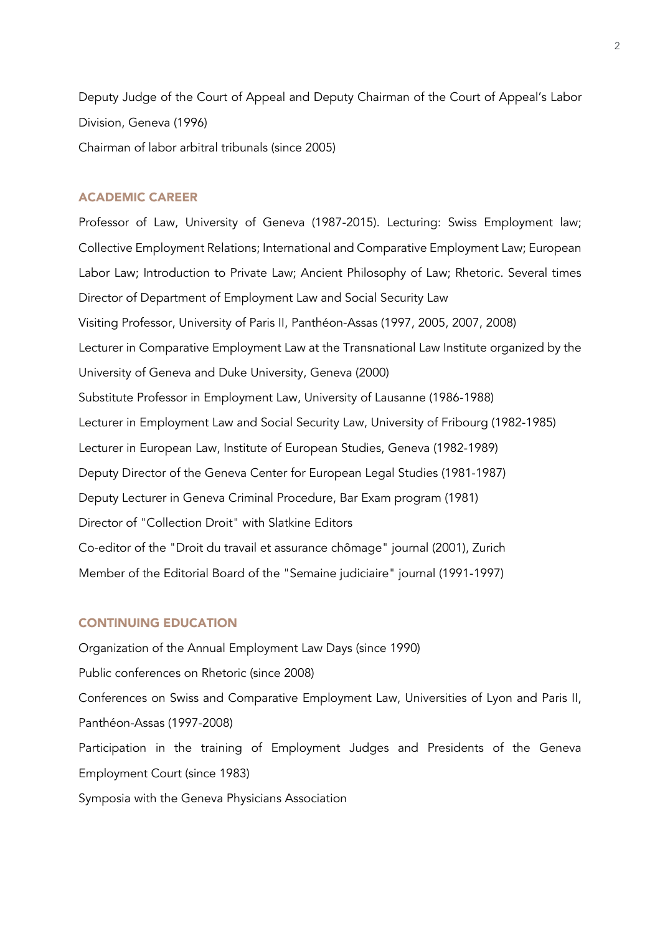Deputy Judge of the Court of Appeal and Deputy Chairman of the Court of Appeal's Labor Division, Geneva (1996) Chairman of labor arbitral tribunals (since 2005)

#### ACADEMIC CAREER

Professor of Law, University of Geneva (1987-2015). Lecturing: Swiss Employment law; Collective Employment Relations; International and Comparative Employment Law; European Labor Law; Introduction to Private Law; Ancient Philosophy of Law; Rhetoric. Several times Director of Department of Employment Law and Social Security Law Visiting Professor, University of Paris II, Panthéon-Assas (1997, 2005, 2007, 2008) Lecturer in Comparative Employment Law at the Transnational Law Institute organized by the University of Geneva and Duke University, Geneva (2000) Substitute Professor in Employment Law, University of Lausanne (1986-1988) Lecturer in Employment Law and Social Security Law, University of Fribourg (1982-1985) Lecturer in European Law, Institute of European Studies, Geneva (1982-1989) Deputy Director of the Geneva Center for European Legal Studies (1981-1987) Deputy Lecturer in Geneva Criminal Procedure, Bar Exam program (1981) Director of "Collection Droit" with Slatkine Editors Co-editor of the "Droit du travail et assurance chômage" journal (2001), Zurich Member of the Editorial Board of the "Semaine judiciaire" journal (1991-1997)

#### CONTINUING EDUCATION

Organization of the Annual Employment Law Days (since 1990) Public conferences on Rhetoric (since 2008) Conferences on Swiss and Comparative Employment Law, Universities of Lyon and Paris II, Panthéon-Assas (1997-2008) Participation in the training of Employment Judges and Presidents of the Geneva Employment Court (since 1983) Symposia with the Geneva Physicians Association